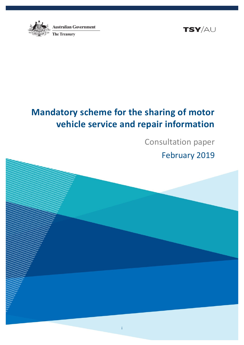



# **Mandatory scheme for the sharing of motor vehicle service and repair information**

Consultation paper February 2019

i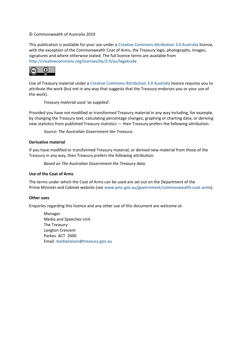#### © Commonwealth of Australia 2019

This publication is available for your use under a [Creative Commons Attribution 3.0 Australia](http://creativecommons.org/licenses/by/3.0/au/deed.en) licence, with the exception of the Commonwealth Coat of Arms, the Treasury logo, photographs, images, signatures and where otherwise stated. The full licence terms are available from [http://creativecommons.org/licenses/by/3.0/au/legalcode.](http://creativecommons.org/licenses/by/3.0/au/legalcode)



Use of Treasury material under a [Creative Commons Attribution 3.0 Australia](http://creativecommons.org/licenses/by/3.0/au/deed.en) licence requires you to attribute the work (but not in any way that suggests that the Treasury endorses you or your use of the work).

### *Treasury material used 'as supplied'.*

Provided you have not modified or transformed Treasury material in any way including, for example, by changing the Treasury text; calculating percentage changes; graphing or charting data; or deriving new statistics from published Treasury statistics — then Treasury prefers the following attribution:

*Source: The Australian Government the Treasury*.

### **Derivative material**

If you have modified or transformed Treasury material, or derived new material from those of the Treasury in any way, then Treasury prefers the following attribution:

*Based on The Australian Government the Treasury data*.

### **Use of the Coat of Arms**

The terms under which the Coat of Arms can be used are set out on the Department of the Prime Minister and Cabinet website (se[e www.pmc.gov.au/government/commonwealth-coat-arms](http://www.pmc.gov.au/government/commonwealth-coat-arm)).

#### **Other uses**

Enquiries regarding this licence and any other use of this document are welcome at:

Manager Media and Speeches Unit The Treasury Langton Crescent Parkes ACT 2600 Email: [medialiaison@treasury.gov.au](mailto:medialiaison@treasury.gov.au)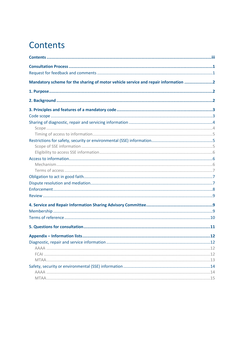# <span id="page-2-0"></span>Contents

| Mandatory scheme for the sharing of motor vehicle service and repair information 2 |
|------------------------------------------------------------------------------------|
|                                                                                    |
|                                                                                    |
|                                                                                    |
|                                                                                    |
|                                                                                    |
|                                                                                    |
|                                                                                    |
|                                                                                    |
|                                                                                    |
|                                                                                    |
|                                                                                    |
|                                                                                    |
|                                                                                    |
|                                                                                    |
|                                                                                    |
|                                                                                    |
|                                                                                    |
|                                                                                    |
|                                                                                    |
|                                                                                    |
|                                                                                    |
|                                                                                    |
|                                                                                    |
|                                                                                    |
|                                                                                    |
|                                                                                    |
|                                                                                    |
|                                                                                    |
|                                                                                    |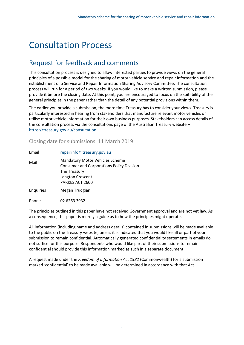# <span id="page-3-0"></span>Consultation Process

## <span id="page-3-1"></span>Request for feedback and comments

This consultation process is designed to allow interested parties to provide views on the general principles of a possible model for the sharing of motor vehicle service and repair information and the establishment of a Service and Repair Information Sharing Advisory Committee. The consultation process will run for a period of two weeks. If you would like to make a written submission, please provide it before the closing date. At this point, you are encouraged to focus on the suitability of the general principles in the paper rather than the detail of any potential provisions within them.

The earlier you provide a submission, the more time Treasury has to consider your views. Treasury is particularly interested in hearing from stakeholders that manufacture relevant motor vehicles or utilise motor vehicle information for their own business purposes. Stakeholders can access details of the consultation process via the consultations page of the Australian Treasury website – [https://treasury.gov.au/consultation.](https://treasury.gov.au/consultation)

## Closing date for submissions: 11 March 2019

| Email            | repairinfo@treasury.gov.au                                                                                                                        |
|------------------|---------------------------------------------------------------------------------------------------------------------------------------------------|
| Mail             | <b>Mandatory Motor Vehicles Scheme</b><br><b>Consumer and Corporations Policy Division</b><br>The Treasury<br>Langton Crescent<br>PARKES ACT 2600 |
| <b>Enquiries</b> | Megan Trudgian                                                                                                                                    |
| Phone            | 02 6263 3932                                                                                                                                      |

The principles outlined in this paper have not received Government approval and are not yet law. As a consequence, this paper is merely a guide as to how the principles might operate.

All information (including name and address details) contained in submissions will be made available to the public on the Treasury website, unless it is indicated that you would like all or part of your submission to remain confidential. Automatically generated confidentiality statements in emails do not suffice for this purpose. Respondents who would like part of their submissions to remain confidential should provide this information marked as such in a separate document.

A request made under the *Freedom of Information Act 1982* (Commonwealth) for a submission marked 'confidential' to be made available will be determined in accordance with that Act.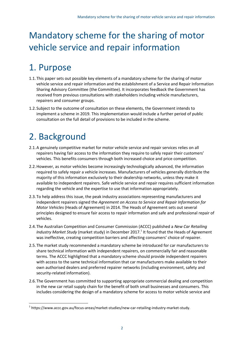# <span id="page-4-0"></span>Mandatory scheme for the sharing of motor vehicle service and repair information

# <span id="page-4-1"></span>1. Purpose

- 1.1.This paper sets out possible key elements of a mandatory scheme for the sharing of motor vehicle service and repair information and the establishment of a Service and Repair Information Sharing Advisory Committee (the Committee). It incorporates feedback the Government has received from previous consultations with stakeholders including vehicle manufacturers, repairers and consumer groups.
- 1.2.Subject to the outcome of consultation on these elements, the Government intends to implement a scheme in 2019. This implementation would include a further period of public consultation on the full detail of provisions to be included in the scheme.

# <span id="page-4-2"></span>2. Background

 $\overline{\phantom{a}}$ 

- 2.1.A genuinely competitive market for motor vehicle service and repair services relies on all repairers having fair access to the information they require to safely repair their customers' vehicles. This benefits consumers through both increased choice and price competition.
- 2.2.However, as motor vehicles become increasingly technologically advanced, the information required to safely repair a vehicle increases. Manufacturers of vehicles generally distribute the majority of this information exclusively to their dealership networks, unless they make it available to independent repairers. Safe vehicle service and repair requires sufficient information regarding the vehicle and the expertise to use that information appropriately.
- 2.3.To help address this issue, the peak industry associations representing manufacturers and independent repairers signed the *Agreement on Access to Service and Repair Information for Motor Vehicles* (Heads of Agreement) in 2014. The Heads of Agreement sets out several principles designed to ensure fair access to repair information and safe and professional repair of vehicles.
- 2.4.The Australian Competition and Consumer Commission (ACCC) published a *New Car Retailing*  Industry Market Study (market study) in December 2017.<sup>1</sup> It found that the Heads of Agreement was ineffective, creating competition barriers and affecting consumers' choice of repairer.
- 2.5.The market study recommended a mandatory scheme be introduced for car manufacturers to share technical information with independent repairers, on commercially fair and reasonable terms. The ACCC highlighted that a mandatory scheme should provide independent repairers with access to the same technical information that car manufacturers make available to their own authorised dealers and preferred repairer networks (including environment, safety and security-related information).
- 2.6.The Government has committed to supporting appropriate commercial dealing and competition in the new car retail supply chain for the benefit of both small businesses and consumers. This includes considering the design of a mandatory scheme for access to motor vehicle service and

 $^{\rm 1}$  https://www.accc.gov.au/focus-areas/market-studies/new-car-retailing-industry-market-study.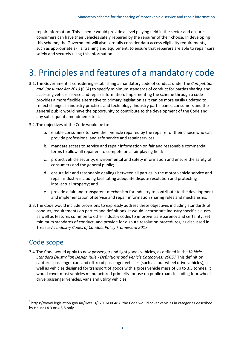repair information. This scheme would provide a level playing field in the sector and ensure consumers can have their vehicles safely repaired by the repairer of their choice. In developing this scheme, the Government will also carefully consider data access eligibility requirements, such as appropriate skills, training and equipment, to ensure that repairers are able to repair cars safely and securely using this information.

# <span id="page-5-0"></span>3. Principles and features of a mandatory code

- 3.1.The Government is considering establishing a mandatory code of conduct under the *Competition and Consumer Act 2010* (CCA) to specify minimum standards of conduct for parties sharing and accessing vehicle service and repair information. Implementing the scheme through a code provides a more flexible alternative to primary legislation as it can be more easily updated to reflect changes in industry practices and technology. Industry participants, consumers and the general public would have the opportunity to contribute to the development of the Code and any subsequent amendments to it.
- 3.2.The objectives of the Code would be to:
	- a. enable consumers to have their vehicle repaired by the repairer of their choice who can provide professional and safe service and repair services;
	- b. mandate access to service and repair information on fair and reasonable commercial terms to allow all repairers to compete on a fair playing field;
	- c. protect vehicle security, environmental and safety information and ensure the safety of consumers and the general public;
	- d. ensure fair and reasonable dealings between all parties in the motor vehicle service and repair industry including facilitating adequate dispute resolution and protecting intellectual property; and
	- e. provide a fair and transparent mechanism for industry to contribute to the development and implementation of service and repair information sharing rules and mechanisms.
- 3.3.The Code would include provisions to expressly address these objectives including standards of conduct, requirements on parties and definitions. It would incorporate industry specific clauses as well as features common to other industry codes to improve transparency and certainty, set minimum standards of conduct, and provide for dispute resolution procedures, as discussed in Treasury's *Industry Codes of Conduct Policy Framework 2017*.

## <span id="page-5-1"></span>Code scope

l

3.4.The Code would apply to new passenger and light goods vehicles, as defined in the *Vehicle Standard (Australian Design Rule - Definitions and Vehicle Categories) 2005*. 2 This definition captures passenger cars and off-road passenger vehicles (such as four wheel drive vehicles), as well as vehicles designed for transport of goods with a gross vehicle mass of up to 3.5 tonnes. It would cover most vehicles manufactured primarily for use on public roads including four wheel drive passenger vehicles, vans and utility vehicles.

 $^2$  https://www.legislation.gov.au/Details/F2016C00487; the Code would cover vehicles in categories described by clauses 4.3 or 4.5.5 only.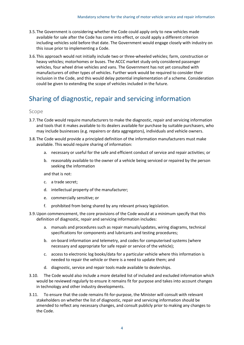- 3.5.The Government is considering whether the Code could apply only to new vehicles made available for sale after the Code has come into effect, or could apply a different criterion including vehicles sold before that date. The Government would engage closely with industry on this issue prior to implementing a Code.
- 3.6.This approach would not initially include two or three-wheeled vehicles; farm, construction or heavy vehicles; motorhomes or buses. The ACCC market study only considered passenger vehicles, four wheel drive vehicles and vans. The Government has not yet consulted with manufacturers of other types of vehicles. Further work would be required to consider their inclusion in the Code, and this would delay potential implementation of a scheme. Consideration could be given to extending the scope of vehicles included in the future.

## <span id="page-6-0"></span>Sharing of diagnostic, repair and servicing information

#### <span id="page-6-1"></span>Scope

- 3.7.The Code would require manufacturers to make the diagnostic, repair and servicing information and tools that it makes available to its dealers available for purchase by suitable purchasers, who may include businesses (e.g. repairers or data aggregators), individuals and vehicle owners.
- 3.8.The Code would provide a principled definition of the information manufacturers must make available. This would require sharing of information:
	- a. necessary or useful for the safe and efficient conduct of service and repair activities; or
	- b. reasonably available to the owner of a vehicle being serviced or repaired by the person seeking the information

and that is not:

- c. a trade secret;
- d. intellectual property of the manufacturer;
- e. commercially sensitive; or
- f. prohibited from being shared by any relevant privacy legislation.
- 3.9.Upon commencement, the core provisions of the Code would at a minimum specify that this definition of diagnostic, repair and servicing information includes:
	- a. manuals and procedures such as repair manuals/updates, wiring diagrams, technical specifications for components and lubricants and testing procedures;
	- b. on-board information and telemetry, and codes for computerised systems (where necessary and appropriate for safe repair or service of the vehicle);
	- c. access to electronic log books/data for a particular vehicle where this information is needed to repair the vehicle or there is a need to update them; and
	- d. diagnostic, service and repair tools made available to dealerships.
- 3.10. The Code would also include a more detailed list of included and excluded information which would be reviewed regularly to ensure it remains fit for purpose and takes into account changes in technology and other industry developments.
- 3.11. To ensure that the code remains fit-for-purpose, the Minister will consult with relevant stakeholders on whether the list of diagnostic, repair and servicing information should be amended to reflect any necessary changes, and consult publicly prior to making any changes to the Code.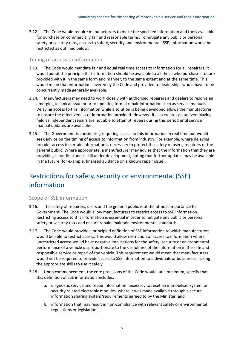3.12. The Code would require manufacturers to make the specified information and tools available for purchase on commercially fair and reasonable terms. To mitigate any public or personal safety or security risks, access to safety, security and environmental (SSE) information would be restricted as outlined below.

### <span id="page-7-0"></span>Timing of access to information

- 3.13. The Code would mandate fair and equal real time access to information for all repairers. It would adopt the principle that information should be available to all those who purchase it or are provided with it in the same form and manner, to the same extent and at the same time. This would mean that information covered by the Code and provided to dealerships would have to be concurrently made generally available.
- 3.14. Manufacturers may need to work closely with authorised repairers and dealers to resolve an emerging technical issue prior to updating formal repair information such as service manuals. Delaying access to this information while a solution is being developed allows the manufacturer to ensure the effectiveness of information provided. However, it also creates an uneven playing field as independent repairs are not able to attempt repairs during this period until service manual updates are available.
- 3.15. The Government is considering requiring access to this information in real time but would seek advice on the timing of access to information from industry. For example, where delaying broader access to certain information is necessary to protect the safety of users, repairers or the general public. Where appropriate, a manufacturer may advise that the information that they are providing is not final and is still under development, noting that further updates may be available in the future (for example, finalised guidance on a known repair issue).

# <span id="page-7-1"></span>Restrictions for safety, security or environmental (SSE) information

### <span id="page-7-2"></span>Scope of SSE information

- 3.16. The safety of repairers, users and the general public is of the utmost importance to Government. The Code would allow manufacturers to restrict access to SSE information. Restricting access to this information is essential in order to mitigate any public or personal safety or security risks and ensure repairs maintain environmental standards.
- 3.17. The Code would provide a principled definition of SSE information to which manufacturers would be able to restrict access. This would allow restriction of access to information where unrestricted access would have negative implications for the safety, security or environmental performance of a vehicle disproportionate to the usefulness of the information in the safe and responsible service or repair of the vehicle. This requirement would mean that manufacturers would not be required to provide access to SSE information to individuals or businesses lacking the appropriate skills to use it safely.
- 3.18. Upon commencement, the core provisions of the Code would, at a minimum, specify that this definition of SSE information includes:
	- a. diagnostic service and repair information necessary to reset an immobiliser system or security related electronic modules, where it was made available through a secure information sharing system/requirements agreed to by the Minister; and
	- b. information that may result in non-compliance with relevant safety or environmental regulations or legislation.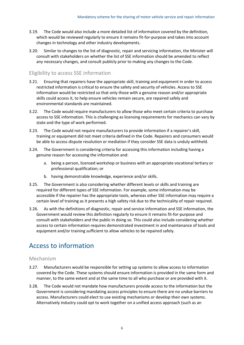- 3.19. The Code would also include a more detailed list of information covered by the definition, which would be reviewed regularly to ensure it remains fit-for-purpose and takes into account changes in technology and other industry developments.
- 3.20. Similar to changes to the list of diagnostic, repair and servicing information, the Minister will consult with stakeholders on whether the list of SSE information should be amended to reflect any necessary changes, and consult publicly prior to making any changes to the Code.

### <span id="page-8-0"></span>Eligibility to access SSE information

- 3.21. Ensuring that repairers have the appropriate skill, training and equipment in order to access restricted information is critical to ensure the safety and security of vehicles. Access to SSE information would be restricted so that only those with a genuine reason and/or appropriate skills could access it, to help ensure vehicles remain secure, are repaired safely and environmental standards are maintained.
- 3.22. The Code would require manufacturers to allow those who meet certain criteria to purchase access to SSE information. This is challenging as licensing requirements for mechanics can vary by state and the type of work performed.
- 3.23. The Code would not require manufacturers to provide information if a repairer's skill, training or equipment did not meet criteria defined in the Code. Repairers and consumers would be able to access dispute resolution or mediation if they consider SSE data is unduly withheld.
- 3.24. The Government is considering criteria for accessing this information including having a genuine reason for accessing the information and:
	- a. being a person, licensed workshop or business with an appropriate vocational tertiary or professional qualification; or
	- b. having demonstrable knowledge, experience and/or skills.
- 3.25. The Government is also considering whether different levels or skills and training are required for different types of SSE information. For example, some information may be accessible if the repairer has the appropriate tools, whereas other SSE information may require a certain level of training as it presents a high safety risk due to the technicality of repair required.
- 3.26. As with the definitions of diagnostic, repair and service information and SSE information, the Government would review this definition regularly to ensure it remains fit-for-purpose and consult with stakeholders and the public in doing so. This could also include considering whether access to certain information requires demonstrated investment in and maintenance of tools and equipment and/or training sufficient to allow vehicles to be repaired safely.

## <span id="page-8-1"></span>Access to information

### <span id="page-8-2"></span>Mechanism

- 3.27. Manufacturers would be responsible for setting up systems to allow access to information covered by the Code. These systems should ensure information is provided in the same form and manner, to the same extent and at the same time to all who purchase or are provided with it.
- 3.28. The Code would not mandate how manufacturers provide access to the information but the Government is considering mandating access principles to ensure there are no undue barriers to access. Manufacturers could elect to use existing mechanisms or develop their own systems. Alternatively industry could opt to work together on a unified access approach (such as an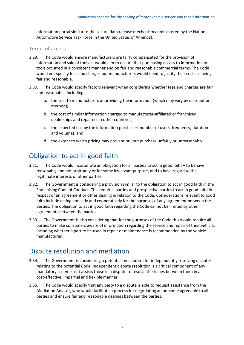information portal similar to the secure data release mechanism administered by the National Automotive Service Task Force in the United States of America).

### <span id="page-9-0"></span>Terms of access

- 3.29. The Code would ensure manufacturers are fairly compensated for the provision of information and sale of tools. It would aim to ensure that purchasing access to information or tools occurred in a consistent manner and on fair and reasonable commercial terms. The Code would not specify fees and charges but manufacturers would need to justify their costs as being fair and reasonable.
- 3.30. The Code would specify factors relevant when considering whether fees and charges are fair and reasonable, including:
	- a. the cost to manufacturers of providing the information (which may vary by distribution method);
	- b. the cost of similar information charged to manufacturer-affiliated or franchised dealerships and repairers in other countries;
	- c. the expected use by the information purchaser (number of users, frequency, duration and volume); and
	- d. the extent to which pricing may prevent or limit purchase unfairly or unreasonably.

## <span id="page-9-1"></span>Obligation to act in good faith

- 3.31. The Code would incorporate an obligation for all parties to act in good faith to behave reasonably and not arbitrarily or for some irrelevant purpose, and to have regard to the legitimate interests of other parties.
- 3.32. The Government is considering a provision similar to the obligation to act in good faith in the Franchising Code of Conduct. This requires parties and prospective parties to act in good faith in respect of an agreement or other dealing in relation to the Code. Considerations relevant to good faith include acting honestly and cooperatively for the purposes of any agreement between the parties. The obligation to act in good faith regarding the Code cannot be limited by other agreements between the parties.
- 3.33. The Government is also considering that for the purposes of the Code this would require all parties to make consumers aware of information regarding the service and repair of their vehicle, including whether a part to be used in repair or maintenance is recommended by the vehicle manufacturer.

## <span id="page-9-2"></span>Dispute resolution and mediation

- 3.34. The Government is considering a potential mechanism for independently resolving disputes relating to the potential Code. Independent dispute resolution is a critical component of any mandatory scheme as it assists those in a dispute to resolve the issues between them in a cost-effective, impartial and flexible manner.
- 3.35. The Code would specify that any party to a dispute is able to request assistance from the Mediation Advisor, who would facilitate a process for negotiating an outcome agreeable to all parties and ensure fair and reasonable dealings between the parties.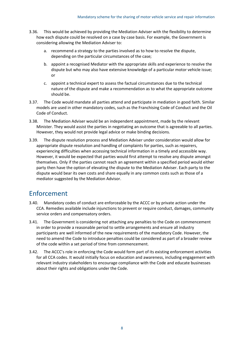- 3.36. This would be achieved by providing the Mediation Adviser with the flexibility to determine how each dispute could be resolved on a case by case basis. For example, the Government is considering allowing the Mediation Adviser to:
	- a. recommend a strategy to the parties involved as to how to resolve the dispute, depending on the particular circumstances of the case;
	- b. appoint a recognised Mediator with the appropriate skills and experience to resolve the dispute but who may also have extensive knowledge of a particular motor vehicle issue; or
	- c. appoint a technical expert to assess the factual circumstances due to the technical nature of the dispute and make a recommendation as to what the appropriate outcome should be.
- 3.37. The Code would mandate all parties attend and participate in mediation in good faith. Similar models are used in other mandatory codes, such as the Franchising Code of Conduct and the Oil Code of Conduct.
- 3.38. The Mediation Adviser would be an independent appointment, made by the relevant Minister. They would assist the parties in negotiating an outcome that is agreeable to all parties. However, they would not provide legal advice or make binding decisions.
- 3.39. The dispute resolution process and Mediation Adviser under consideration would allow for appropriate dispute resolution and handling of complaints for parties, such as repairers, experiencing difficulties when accessing technical information in a timely and accessible way. However, it would be expected that parties would first attempt to resolve any dispute amongst themselves. Only if the parties cannot reach an agreement within a specified period would either party then have the option of elevating the dispute to the Mediation Adviser. Each party to the dispute would bear its own costs and share equally in any common costs such as those of a mediator suggested by the Mediation Advisor.

## <span id="page-10-0"></span>Enforcement

- 3.40. Mandatory codes of conduct are enforceable by the ACCC or by private action under the CCA. Remedies available include injunctions to prevent or require conduct, damages, community service orders and compensatory orders.
- 3.41. The Government is considering not attaching any penalties to the Code on commencement in order to provide a reasonable period to settle arrangements and ensure all industry participants are well informed of the new requirements of the mandatory Code. However, the need to amend the Code to introduce penalties could be considered as part of a broader review of the code within a set period of time from commencement.
- 3.42. The ACCC's role in enforcing the Code would form part of its existing enforcement activities for all CCA codes. It would initially focus on education and awareness, including engagement with relevant industry stakeholders to encourage compliance with the Code and educate businesses about their rights and obligations under the Code.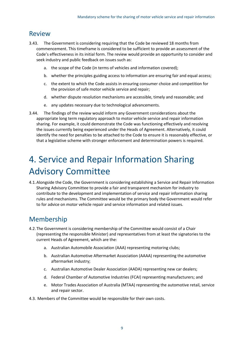## <span id="page-11-0"></span>Review

- 3.43. The Government is considering requiring that the Code be reviewed 18 months from commencement. This timeframe is considered to be sufficient to provide an assessment of the Code's effectiveness in its initial form. The review would provide an opportunity to consider and seek industry and public feedback on issues such as:
	- a. the scope of the Code (in terms of vehicles and information covered);
	- b. whether the principles guiding access to information are ensuring fair and equal access;
	- c. the extent to which the Code assists in ensuring consumer choice and competition for the provision of safe motor vehicle service and repair;
	- d. whether dispute resolution mechanisms are accessible, timely and reasonable; and
	- e. any updates necessary due to technological advancements.
- 3.44. The findings of the review would inform any Government considerations about the appropriate long term regulatory approach to motor vehicle service and repair information sharing. For example, it could demonstrate the Code was functioning effectively and resolving the issues currently being experienced under the Heads of Agreement. Alternatively, it could identify the need for penalties to be attached to the Code to ensure it is reasonably effective, or that a legislative scheme with stronger enforcement and determination powers is required.

# <span id="page-11-1"></span>4. Service and Repair Information Sharing Advisory Committee

4.1.Alongside the Code, the Government is considering establishing a Service and Repair Information Sharing Advisory Committee to provide a fair and transparent mechanism for industry to contribute to the development and implementation of service and repair information sharing rules and mechanisms. The Committee would be the primary body the Government would refer to for advice on motor vehicle repair and service information and related issues.

## <span id="page-11-2"></span>Membership

- 4.2.The Government is considering membership of the Committee would consist of a Chair (representing the responsible Minister) and representatives from at least the signatories to the current Heads of Agreement, which are the:
	- a. Australian Automobile Association (AAA) representing motoring clubs;
	- b. Australian Automotive Aftermarket Association (AAAA) representing the automotive aftermarket industry;
	- c. Australian Automotive Dealer Association (AADA) representing new car dealers;
	- d. Federal Chamber of Automotive Industries (FCAI) representing manufacturers; and
	- e. Motor Trades Association of Australia (MTAA) representing the automotive retail, service and repair sector.
- 4.3. Members of the Committee would be responsible for their own costs.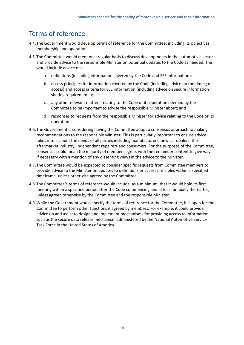## <span id="page-12-0"></span>Terms of reference

- 4.4.The Government would develop terms of reference for the Committee, including its objectives, membership and operation.
- 4.5.The Committee would meet on a regular basis to discuss developments in the automotive sector and provide advice to the responsible Minister on potential updates to the Code as needed. This would include advice on:
	- a. definitions (including information covered by the Code and SSE information);
	- b. access principles for information covered by the Code (including advice on the timing of access) and access criteria for SSE information (including advice on secure information sharing requirements);
	- c. any other relevant matters relating to the Code or its operation deemed by the Committee to be important to advise the responsible Minister about; and
	- d. responses to requests from the responsible Minister for advice relating to the Code or its operation.
- 4.6.The Government is considering having the Committee adopt a consensus approach to making recommendations to the responsible Minister. This is particularly important to ensure advice takes into account the needs of all parties including manufacturers, new car dealers, the aftermarket industry, independent repairers and consumers. For the purposes of the Committee, consensus could mean the majority of members agree, with the remainder content to give way, if necessary with a mention of any dissenting views in the advice to the Minister.
- 4.7.The Committee would be expected to consider specific requests from Committee members to provide advice to the Minister on updates to definitions or access principles within a specified timeframe, unless otherwise agreed by the Committee.
- 4.8.The Committee's terms of reference would include, as a minimum, that it would hold its first meeting within a specified period after the Code commencing and at least annually thereafter, unless agreed otherwise by the Committee and the responsible Minister.
- 4.9.While the Government would specify the terms of reference for the Committee, it is open for the Committee to perform other functions if agreed by members. For example, it could provide advice on and assist to design and implement mechanisms for providing access to information such as the secure data release mechanism administered by the National Automotive Service Task Force in the United States of America.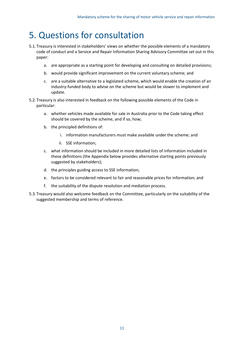# <span id="page-13-0"></span>5. Questions for consultation

- 5.1.Treasury is interested in stakeholders' views on whether the possible elements of a mandatory code of conduct and a Service and Repair Information Sharing Advisory Committee set out in this paper:
	- a. are appropriate as a starting point for developing and consulting on detailed provisions;
	- b. would provide significant improvement on the current voluntary scheme; and
	- c. are a suitable alternative to a legislated scheme, which would enable the creation of an industry-funded body to advise on the scheme but would be slower to implement and update.
- 5.2.Treasury is also interested in feedback on the following possible elements of the Code in particular:
	- a. whether vehicles made available for sale in Australia prior to the Code taking effect should be covered by the scheme, and if so, how;
	- b. the principled definitions of:
		- i. information manufacturers must make available under the scheme; and
		- ii. SSE information;
	- c. what information should be included in more detailed lists of information included in these definitions (the Appendix below provides alternative starting points previously suggested by stakeholders);
	- d. the principles guiding access to SSE information;
	- e. factors to be considered relevant to fair and reasonable prices for information; and
	- f. the suitability of the dispute resolution and mediation process.
- 5.3.Treasury would also welcome feedback on the Committee, particularly on the suitability of the suggested membership and terms of reference.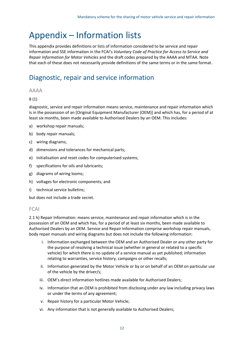# <span id="page-14-0"></span>Appendix – Information lists

This appendix provides definitions or lists of information considered to be service and repair information and SSE information in the FCAI's *Voluntary Code of Practice for Access to Service and Repair Information for Motor Vehicles* and the draft codes prepared by the AAAA and MTAA. Note that each of these does not necessarily provide definitions of the same terms or in the same format.

## <span id="page-14-1"></span>Diagnostic, repair and service information

### <span id="page-14-2"></span>AAAA

### 8 (1)

diagnostic, service and repair information means service, maintenance and repair information which is in the possession of an [Original Equipment Manufacturer (OEM)] and which has, for a period of at least six months, been made available to Authorised Dealers by an OEM. This includes:

- a) workshop repair manuals;
- b) body repair manuals;
- c) wiring diagrams;
- d) dimensions and tolerances for mechanical parts;
- e) initialisation and reset codes for computerised systems;
- f) specifications for oils and lubricants;
- g) diagrams of wiring looms;
- h) voltages for electronic components; and
- i) technical service bulletins;

but does not include a trade secret.

### <span id="page-14-3"></span>FCAI

2.1 h) Repair Information: means service, maintenance and repair information which is in the possession of an OEM and which has, for a period of at least six months, been made available to Authorised Dealers by an OEM. Service and Repair Information comprise workshop repair manuals, body repair manuals and wiring diagrams but does not include the following information:

- i. Information exchanged between the OEM and an Authorised Dealer or any other party for the purpose of resolving a technical issue (whether in general or related to a specific vehicle) for which there is no update of a service manual as yet published; information relating to warranties, service history, campaigns or other recalls;
- ii. Information generated by the Motor Vehicle or by or on behalf of an OEM on particular use of the vehicle by the driver/s;
- iii. OEM's direct information hotlines made available for Authorised Dealers;
- iv. Information that an OEM is prohibited from disclosing under any law including privacy laws or under the terms of any agreement;
- v. Repair history for a particular Motor Vehicle;
- vi. Any information that is not generally available to Authorised Dealers;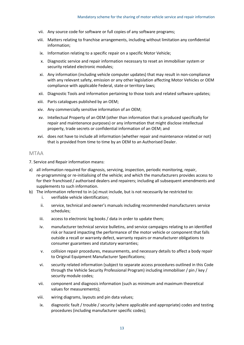- vii. Any source code for software or full copies of any software programs;
- viii. Matters relating to franchise arrangements, including without limitation any confidential information;
- ix. Information relating to a specific repair on a specific Motor Vehicle;
- x. Diagnostic service and repair information necessary to reset an immobiliser system or security related electronic modules;
- xi. Any information (including vehicle computer updates) that may result in non-compliance with any relevant safety, emission or any other legislation affecting Motor Vehicles or OEM compliance with applicable Federal, state or territory laws;
- xii. Diagnostic Tools and information pertaining to those tools and related software updates;
- xiii. Parts catalogues published by an OEM;
- xiv. Any commercially sensitive information of an OEM;
- xv. Intellectual Property of an OEM (other than information that is produced specifically for repair and maintenance purposes) or any information that might disclose intellectual property, trade secrets or confidential information of an OEM; and
- xvi. does not have to include all information (whether repair and maintenance related or not) that is provided from time to time by an OEM to an Authorised Dealer.

#### <span id="page-15-0"></span>MTAA

7. Service and Repair information means:

- a) all information required for diagnosis, servicing, inspection, periodic monitoring, repair, re-programming or re-initialising of the vehicle; and which the manufacturers provides access to for their franchised / authorised dealers and repairers; including all subsequent amendments and supplements to such information.
- b) The information referred to in (a) must include, but is not necessarily be restricted to:
	- i. verifiable vehicle identification;
	- ii. service, technical and owner's manuals including recommended manufacturers service schedules;
	- iii. access to electronic log books / data in order to update them;
	- iv. manufacturer technical service bulletins, and service campaigns relating to an identified risk or hazard impacting the performance of the motor vehicle or component that falls outside a recall or warranty defect, warranty repairs or manufacturer obligations to consumer guarantees and statutory warranties;
	- v. collision repair procedures, measurements, and necessary details to affect a body repair to Original Equipment Manufacturer Specifications;
	- vi. security related information (subject to separate access procedures outlined in this Code through the Vehicle Security Professional Program) including immobiliser / pin / key / security module codes;
	- vii. component and diagnosis information (such as minimum and maximum theoretical values for measurements);
	- viii. wiring diagrams, layouts and pin data values;
	- ix. diagnostic fault / trouble / security (where applicable and appropriate) codes and testing procedures (including manufacturer specific codes);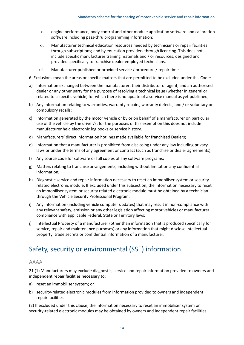- x. engine performance, body control and other module application software and calibration software including pass-thru programming information;
- xi. Manufacturer technical education resources needed by technicians or repair facilities through subscriptions; and by education providers through licencing. This does not include specific manufacturer training materials and / or resources, designed and provided specifically to franchise dealer employed technicians.
- xii. Manufacturer published or provided service / procedure / repair times.
- 6. Exclusions mean the areas or specific matters that are permitted to be excluded under this Code:
- a) Information exchanged between the manufacturer, their distributor or agent, and an authorised dealer or any other party for the purpose of resolving a technical issue (whether in general or related to a specific vehicle) for which there is no update of a service manual as yet published;
- b) Any information relating to warranties, warranty repairs, warranty defects, and / or voluntary or compulsory recalls;
- c) Information generated by the motor vehicle or by or on behalf of a manufacturer on particular use of the vehicle by the driver/s; for the purposes of this exemption this does not include manufacturer held electronic log books or service history.
- d) Manufacturers' direct information hotlines made available for franchised Dealers;
- e) Information that a manufacturer is prohibited from disclosing under any law including privacy laws or under the terms of any agreement or contract (such as franchise or dealer agreements);
- f) Any source code for software or full copies of any software programs;
- g) Matters relating to franchise arrangements, including without limitation any confidential information;
- h) Diagnostic service and repair information necessary to reset an immobiliser system or security related electronic module. If excluded under this subsection, the information necessary to reset an immobiliser system or security related electronic module must be obtained by a technician through the Vehicle Security Professional Program.
- i) Any information (including vehicle computer updates) that may result in non-compliance with any relevant safety, emission or any other legislation affecting motor vehicles or manufacturer compliance with applicable Federal, State or Territory laws;
- j) Intellectual Property of a manufacturer (other than information that is produced specifically for service, repair and maintenance purposes) or any information that might disclose intellectual property, trade secrets or confidential information of a manufacturer.

## <span id="page-16-0"></span>Safety, security or environmental (SSE) information

### <span id="page-16-1"></span>AAAA

21 (1) Manufacturers may exclude diagnostic, service and repair information provided to owners and independent repair facilities necessary to:

- a) reset an immobiliser system; or
- b) security-related electronic modules from information provided to owners and independent repair facilities.

(2) If excluded under this clause, the information necessary to reset an immobiliser system or security-related electronic modules may be obtained by owners and independent repair facilities